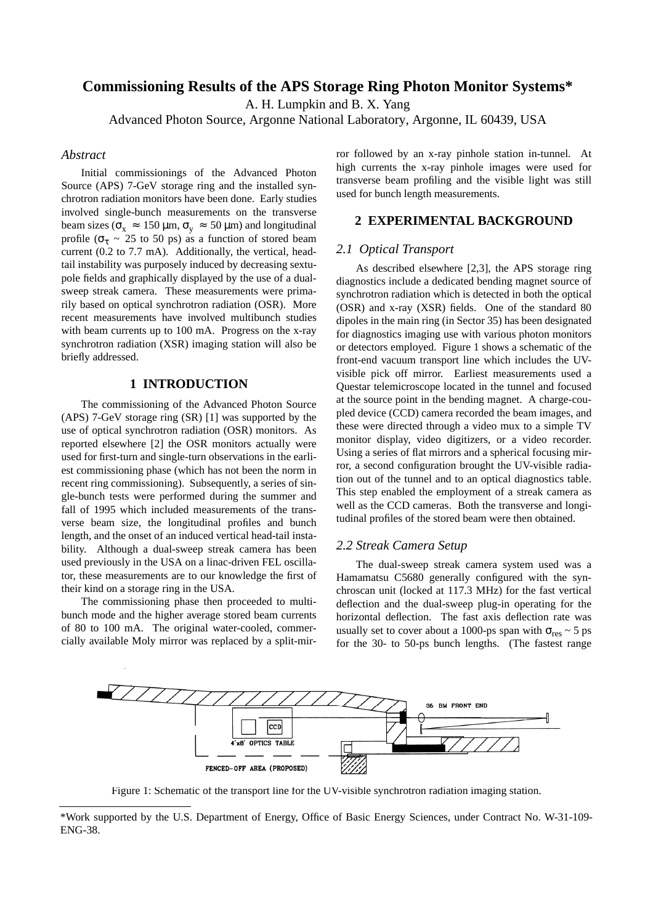# **Commissioning Results of the APS Storage Ring Photon Monitor Systems\***

A. H. Lumpkin and B. X. Yang

Advanced Photon Source, Argonne National Laboratory, Argonne, IL 60439, USA

### *Abstract*

Initial commissionings of the Advanced Photon Source (APS) 7-GeV storage ring and the installed synchrotron radiation monitors have been done. Early studies involved single-bunch measurements on the transverse beam sizes ( $\sigma_x \approx 150 \,\mu\text{m}$ ,  $\sigma_y \approx 50 \,\mu\text{m}$ ) and longitudinal profile ( $\sigma_{\tau} \sim 25$  to 50 ps) as a function of stored beam current (0.2 to 7.7 mA). Additionally, the vertical, headtail instability was purposely induced by decreasing sextupole fields and graphically displayed by the use of a dualsweep streak camera. These measurements were primarily based on optical synchrotron radiation (OSR). More recent measurements have involved multibunch studies with beam currents up to 100 mA. Progress on the x-ray synchrotron radiation (XSR) imaging station will also be briefly addressed.

## **1 INTRODUCTION**

The commissioning of the Advanced Photon Source (APS) 7-GeV storage ring (SR) [1] was supported by the use of optical synchrotron radiation (OSR) monitors. As reported elsewhere [2] the OSR monitors actually were used for first-turn and single-turn observations in the earliest commissioning phase (which has not been the norm in recent ring commissioning). Subsequently, a series of single-bunch tests were performed during the summer and fall of 1995 which included measurements of the transverse beam size, the longitudinal profiles and bunch length, and the onset of an induced vertical head-tail instability. Although a dual-sweep streak camera has been used previously in the USA on a linac-driven FEL oscillator, these measurements are to our knowledge the first of their kind on a storage ring in the USA.

The commissioning phase then proceeded to multibunch mode and the higher average stored beam currents of 80 to 100 mA. The original water-cooled, commercially available Moly mirror was replaced by a split-mirror followed by an x-ray pinhole station in-tunnel. At high currents the x-ray pinhole images were used for transverse beam profiling and the visible light was still used for bunch length measurements.

#### **2 EXPERIMENTAL BACKGROUND**

#### *2.1 Optical Transport*

As described elsewhere [2,3], the APS storage ring diagnostics include a dedicated bending magnet source of synchrotron radiation which is detected in both the optical (OSR) and x-ray (XSR) fields. One of the standard 80 dipoles in the main ring (in Sector 35) has been designated for diagnostics imaging use with various photon monitors or detectors employed. Figure 1 shows a schematic of the front-end vacuum transport line which includes the UVvisible pick off mirror. Earliest measurements used a Questar telemicroscope located in the tunnel and focused at the source point in the bending magnet. A charge-coupled device (CCD) camera recorded the beam images, and these were directed through a video mux to a simple TV monitor display, video digitizers, or a video recorder. Using a series of flat mirrors and a spherical focusing mirror, a second configuration brought the UV-visible radiation out of the tunnel and to an optical diagnostics table. This step enabled the employment of a streak camera as well as the CCD cameras. Both the transverse and longitudinal profiles of the stored beam were then obtained.

### *2.2 Streak Camera Setup*

The dual-sweep streak camera system used was a Hamamatsu C5680 generally configured with the synchroscan unit (locked at 117.3 MHz) for the fast vertical deflection and the dual-sweep plug-in operating for the horizontal deflection. The fast axis deflection rate was usually set to cover about a 1000-ps span with  $\sigma_{res} \sim 5$  ps for the 30- to 50-ps bunch lengths. (The fastest range



Figure 1: Schematic of the transport line for the UV-visible synchrotron radiation imaging station.

<sup>\*</sup>Work supported by the U.S. Department of Energy, Office of Basic Energy Sciences, under Contract No. W-31-109- ENG-38.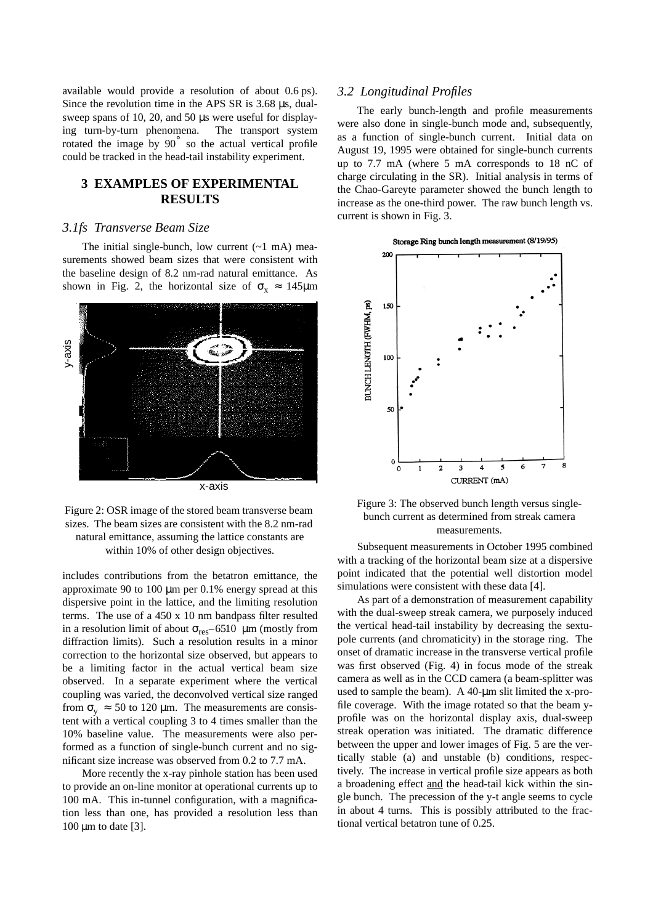available would provide a resolution of about 0.6 ps). Since the revolution time in the APS SR is 3.68 µs, dualsweep spans of 10, 20, and 50 µs were useful for displaying turn-by-turn phenomena. The transport system rotated the image by 90˚ so the actual vertical profile could be tracked in the head-tail instability experiment.

### **3 EXAMPLES OF EXPERIMENTAL RESULTS**

#### *3.1fs Transverse Beam Size*

The initial single-bunch, low current  $(-1 \text{ mA})$  measurements showed beam sizes that were consistent with the baseline design of 8.2 nm-rad natural emittance. As shown in Fig. 2, the horizontal size of  $\sigma_x \approx 145 \mu m$ 



Figure 2: OSR image of the stored beam transverse beam sizes. The beam sizes are consistent with the 8.2 nm-rad natural emittance, assuming the lattice constants are within 10% of other design objectives.

includes contributions from the betatron emittance, the approximate 90 to 100 µm per 0.1% energy spread at this dispersive point in the lattice, and the limiting resolution terms. The use of a 450 x 10 nm bandpass filter resulted in a resolution limit of about  $\sigma_{\text{res}}$ –65 10 µm (mostly from diffraction limits). Such a resolution results in a minor correction to the horizontal size observed, but appears to be a limiting factor in the actual vertical beam size observed. In a separate experiment where the vertical coupling was varied, the deconvolved vertical size ranged from  $\sigma_v \approx 50$  to 120 µm. The measurements are consistent with a vertical coupling 3 to 4 times smaller than the 10% baseline value. The measurements were also performed as a function of single-bunch current and no significant size increase was observed from 0.2 to 7.7 mA.

More recently the x-ray pinhole station has been used to provide an on-line monitor at operational currents up to 100 mA. This in-tunnel configuration, with a magnification less than one, has provided a resolution less than  $100 \mu m$  to date [3].

#### *3.2 Longitudinal Profiles*

The early bunch-length and profile measurements were also done in single-bunch mode and, subsequently, as a function of single-bunch current. Initial data on August 19, 1995 were obtained for single-bunch currents up to 7.7 mA (where 5 mA corresponds to 18 nC of charge circulating in the SR). Initial analysis in terms of the Chao-Gareyte parameter showed the bunch length to increase as the one-third power. The raw bunch length vs. current is shown in Fig. 3.



Figure 3: The observed bunch length versus singlebunch current as determined from streak camera measurements.

Subsequent measurements in October 1995 combined with a tracking of the horizontal beam size at a dispersive point indicated that the potential well distortion model simulations were consistent with these data [4].

As part of a demonstration of measurement capability with the dual-sweep streak camera, we purposely induced the vertical head-tail instability by decreasing the sextupole currents (and chromaticity) in the storage ring. The onset of dramatic increase in the transverse vertical profile was first observed (Fig. 4) in focus mode of the streak camera as well as in the CCD camera (a beam-splitter was used to sample the beam). A 40-µm slit limited the x-profile coverage. With the image rotated so that the beam yprofile was on the horizontal display axis, dual-sweep streak operation was initiated. The dramatic difference between the upper and lower images of Fig. 5 are the vertically stable (a) and unstable (b) conditions, respectively. The increase in vertical profile size appears as both a broadening effect and the head-tail kick within the single bunch. The precession of the y-t angle seems to cycle in about 4 turns. This is possibly attributed to the fractional vertical betatron tune of 0.25.